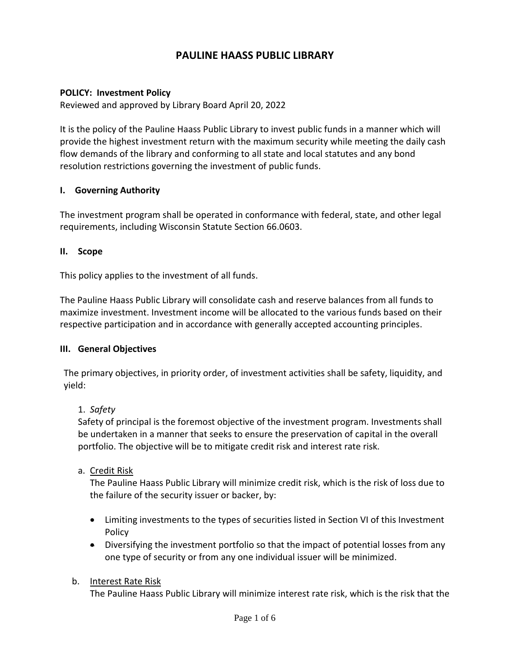# **PAULINE HAASS PUBLIC LIBRARY**

### **POLICY: Investment Policy**

Reviewed and approved by Library Board April 20, 2022

It is the policy of the Pauline Haass Public Library to invest public funds in a manner which will provide the highest investment return with the maximum security while meeting the daily cash flow demands of the library and conforming to all state and local statutes and any bond resolution restrictions governing the investment of public funds.

### **I. Governing Authority**

The investment program shall be operated in conformance with federal, state, and other legal requirements, including Wisconsin Statute Section 66.0603.

#### **II. Scope**

This policy applies to the investment of all funds.

The Pauline Haass Public Library will consolidate cash and reserve balances from all funds to maximize investment. Investment income will be allocated to the various funds based on their respective participation and in accordance with generally accepted accounting principles.

#### **III. General Objectives**

The primary objectives, in priority order, of investment activities shall be safety, liquidity, and yield:

#### 1. *Safety*

Safety of principal is the foremost objective of the investment program. Investments shall be undertaken in a manner that seeks to ensure the preservation of capital in the overall portfolio. The objective will be to mitigate credit risk and interest rate risk.

a. Credit Risk

The Pauline Haass Public Library will minimize credit risk, which is the risk of loss due to the failure of the security issuer or backer, by:

- Limiting investments to the types of securities listed in Section VI of this Investment Policy
- Diversifying the investment portfolio so that the impact of potential losses from any one type of security or from any one individual issuer will be minimized.

#### b. Interest Rate Risk

The Pauline Haass Public Library will minimize interest rate risk, which is the risk that the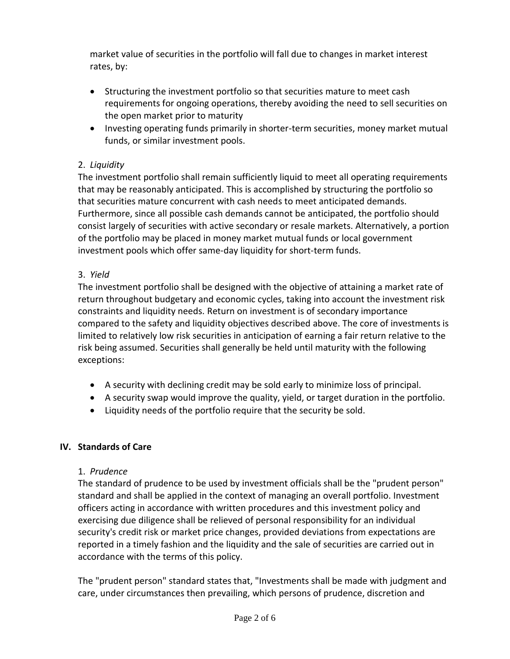market value of securities in the portfolio will fall due to changes in market interest rates, by:

- Structuring the investment portfolio so that securities mature to meet cash requirements for ongoing operations, thereby avoiding the need to sell securities on the open market prior to maturity
- Investing operating funds primarily in shorter-term securities, money market mutual funds, or similar investment pools.

# 2. *Liquidity*

The investment portfolio shall remain sufficiently liquid to meet all operating requirements that may be reasonably anticipated. This is accomplished by structuring the portfolio so that securities mature concurrent with cash needs to meet anticipated demands. Furthermore, since all possible cash demands cannot be anticipated, the portfolio should consist largely of securities with active secondary or resale markets. Alternatively, a portion of the portfolio may be placed in money market mutual funds or local government investment pools which offer same-day liquidity for short-term funds.

# 3. *Yield*

The investment portfolio shall be designed with the objective of attaining a market rate of return throughout budgetary and economic cycles, taking into account the investment risk constraints and liquidity needs. Return on investment is of secondary importance compared to the safety and liquidity objectives described above. The core of investments is limited to relatively low risk securities in anticipation of earning a fair return relative to the risk being assumed. Securities shall generally be held until maturity with the following exceptions:

- A security with declining credit may be sold early to minimize loss of principal.
- A security swap would improve the quality, yield, or target duration in the portfolio.
- Liquidity needs of the portfolio require that the security be sold.

# **IV. Standards of Care**

# 1. *Prudence*

The standard of prudence to be used by investment officials shall be the "prudent person" standard and shall be applied in the context of managing an overall portfolio. Investment officers acting in accordance with written procedures and this investment policy and exercising due diligence shall be relieved of personal responsibility for an individual security's credit risk or market price changes, provided deviations from expectations are reported in a timely fashion and the liquidity and the sale of securities are carried out in accordance with the terms of this policy.

The "prudent person" standard states that, "Investments shall be made with judgment and care, under circumstances then prevailing, which persons of prudence, discretion and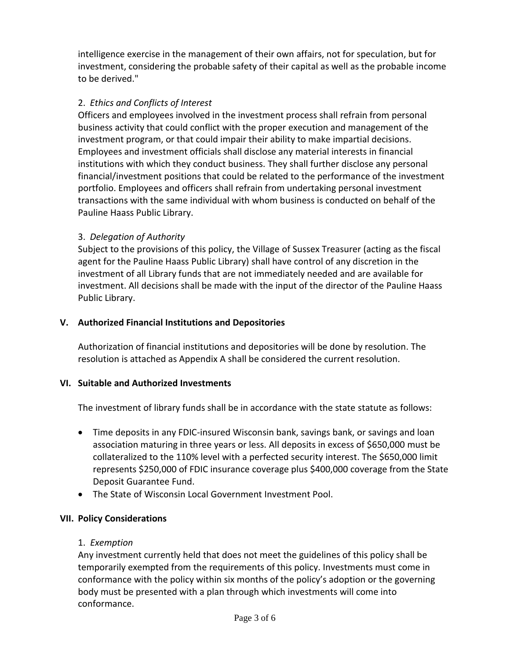intelligence exercise in the management of their own affairs, not for speculation, but for investment, considering the probable safety of their capital as well as the probable income to be derived."

# 2. *Ethics and Conflicts of Interest*

Officers and employees involved in the investment process shall refrain from personal business activity that could conflict with the proper execution and management of the investment program, or that could impair their ability to make impartial decisions. Employees and investment officials shall disclose any material interests in financial institutions with which they conduct business. They shall further disclose any personal financial/investment positions that could be related to the performance of the investment portfolio. Employees and officers shall refrain from undertaking personal investment transactions with the same individual with whom business is conducted on behalf of the Pauline Haass Public Library.

### 3. *Delegation of Authority*

Subject to the provisions of this policy, the Village of Sussex Treasurer (acting as the fiscal agent for the Pauline Haass Public Library) shall have control of any discretion in the investment of all Library funds that are not immediately needed and are available for investment. All decisions shall be made with the input of the director of the Pauline Haass Public Library.

### **V. Authorized Financial Institutions and Depositories**

Authorization of financial institutions and depositories will be done by resolution. The resolution is attached as Appendix A shall be considered the current resolution.

### **VI. Suitable and Authorized Investments**

The investment of library funds shall be in accordance with the state statute as follows:

- Time deposits in any FDIC-insured Wisconsin bank, savings bank, or savings and loan association maturing in three years or less. All deposits in excess of \$650,000 must be collateralized to the 110% level with a perfected security interest. The \$650,000 limit represents \$250,000 of FDIC insurance coverage plus \$400,000 coverage from the State Deposit Guarantee Fund.
- The State of Wisconsin Local Government Investment Pool.

### **VII. Policy Considerations**

### 1. *Exemption*

Any investment currently held that does not meet the guidelines of this policy shall be temporarily exempted from the requirements of this policy. Investments must come in conformance with the policy within six months of the policy's adoption or the governing body must be presented with a plan through which investments will come into conformance.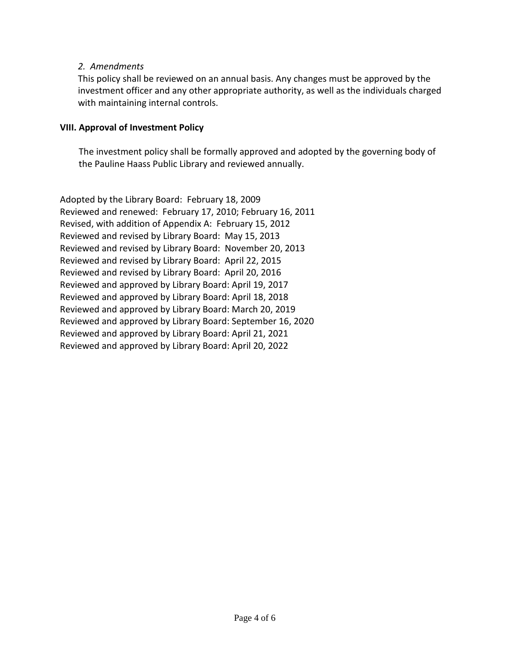### *2. Amendments*

This policy shall be reviewed on an annual basis. Any changes must be approved by the investment officer and any other appropriate authority, as well as the individuals charged with maintaining internal controls.

#### **VIII. Approval of Investment Policy**

The investment policy shall be formally approved and adopted by the governing body of the Pauline Haass Public Library and reviewed annually.

Adopted by the Library Board: February 18, 2009 Reviewed and renewed: February 17, 2010; February 16, 2011 Revised, with addition of Appendix A: February 15, 2012 Reviewed and revised by Library Board: May 15, 2013 Reviewed and revised by Library Board: November 20, 2013 Reviewed and revised by Library Board: April 22, 2015 Reviewed and revised by Library Board: April 20, 2016 Reviewed and approved by Library Board: April 19, 2017 Reviewed and approved by Library Board: April 18, 2018 Reviewed and approved by Library Board: March 20, 2019 Reviewed and approved by Library Board: September 16, 2020 Reviewed and approved by Library Board: April 21, 2021 Reviewed and approved by Library Board: April 20, 2022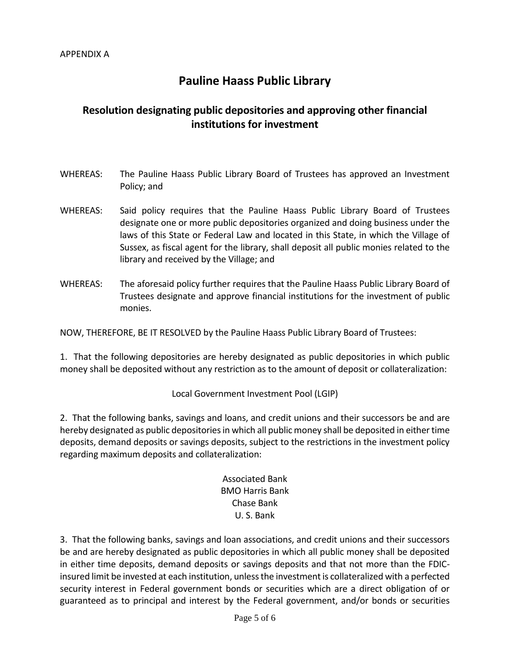# **Pauline Haass Public Library**

# **Resolution designating public depositories and approving other financial institutions for investment**

- WHEREAS: The Pauline Haass Public Library Board of Trustees has approved an Investment Policy; and
- WHEREAS: Said policy requires that the Pauline Haass Public Library Board of Trustees designate one or more public depositories organized and doing business under the laws of this State or Federal Law and located in this State, in which the Village of Sussex, as fiscal agent for the library, shall deposit all public monies related to the library and received by the Village; and
- WHEREAS: The aforesaid policy further requires that the Pauline Haass Public Library Board of Trustees designate and approve financial institutions for the investment of public monies.

NOW, THEREFORE, BE IT RESOLVED by the Pauline Haass Public Library Board of Trustees:

1. That the following depositories are hereby designated as public depositories in which public money shall be deposited without any restriction as to the amount of deposit or collateralization:

Local Government Investment Pool (LGIP)

2. That the following banks, savings and loans, and credit unions and their successors be and are hereby designated as public depositories in which all public money shall be deposited in either time deposits, demand deposits or savings deposits, subject to the restrictions in the investment policy regarding maximum deposits and collateralization:

> Associated Bank BMO Harris Bank Chase Bank U. S. Bank

3. That the following banks, savings and loan associations, and credit unions and their successors be and are hereby designated as public depositories in which all public money shall be deposited in either time deposits, demand deposits or savings deposits and that not more than the FDICinsured limit be invested at each institution, unless the investment is collateralized with a perfected security interest in Federal government bonds or securities which are a direct obligation of or guaranteed as to principal and interest by the Federal government, and/or bonds or securities